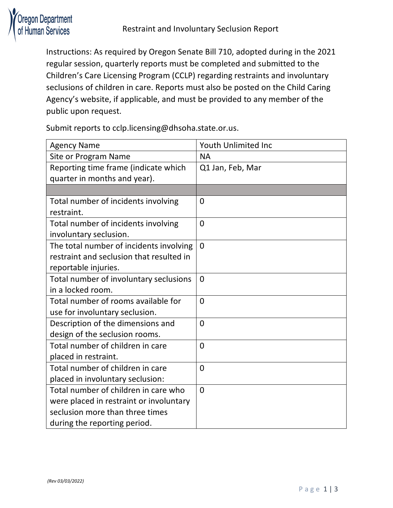

Instructions: As required by Oregon Senate Bill 710, adopted during in the 2021 regular session, quarterly reports must be completed and submitted to the Children's Care Licensing Program (CCLP) regarding restraints and involuntary seclusions of children in care. Reports must also be posted on the Child Caring Agency's website, if applicable, and must be provided to any member of the public upon request.

Submit reports to cclp.licensing@dhsoha.state.or.us.

| <b>Agency Name</b>                       | Youth Unlimited Inc |
|------------------------------------------|---------------------|
| Site or Program Name                     | <b>NA</b>           |
| Reporting time frame (indicate which     | Q1 Jan, Feb, Mar    |
| quarter in months and year).             |                     |
|                                          |                     |
| Total number of incidents involving      | 0                   |
| restraint.                               |                     |
| Total number of incidents involving      | $\overline{0}$      |
| involuntary seclusion.                   |                     |
| The total number of incidents involving  | $\overline{0}$      |
| restraint and seclusion that resulted in |                     |
| reportable injuries.                     |                     |
| Total number of involuntary seclusions   | $\overline{0}$      |
| in a locked room.                        |                     |
| Total number of rooms available for      | $\overline{0}$      |
| use for involuntary seclusion.           |                     |
| Description of the dimensions and        | $\overline{0}$      |
| design of the seclusion rooms.           |                     |
| Total number of children in care         | $\overline{0}$      |
| placed in restraint.                     |                     |
| Total number of children in care         | $\overline{0}$      |
| placed in involuntary seclusion:         |                     |
| Total number of children in care who     | $\overline{0}$      |
| were placed in restraint or involuntary  |                     |
| seclusion more than three times          |                     |
| during the reporting period.             |                     |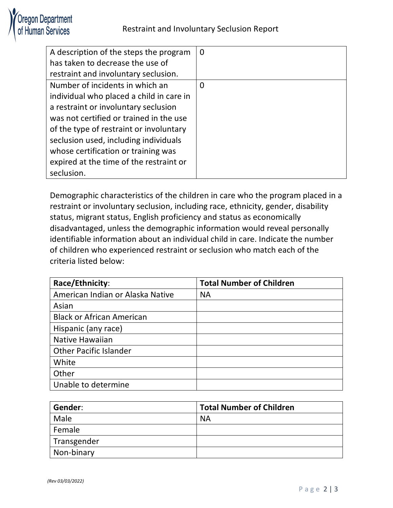

| A description of the steps the program   | $\overline{0}$ |
|------------------------------------------|----------------|
| has taken to decrease the use of         |                |
| restraint and involuntary seclusion.     |                |
| Number of incidents in which an          | 0              |
| individual who placed a child in care in |                |
| a restraint or involuntary seclusion     |                |
| was not certified or trained in the use  |                |
| of the type of restraint or involuntary  |                |
| seclusion used, including individuals    |                |
| whose certification or training was      |                |
| expired at the time of the restraint or  |                |
| seclusion.                               |                |

Demographic characteristics of the children in care who the program placed in a restraint or involuntary seclusion, including race, ethnicity, gender, disability status, migrant status, English proficiency and status as economically disadvantaged, unless the demographic information would reveal personally identifiable information about an individual child in care. Indicate the number of children who experienced restraint or seclusion who match each of the criteria listed below:

| Race/Ethnicity:                  | <b>Total Number of Children</b> |
|----------------------------------|---------------------------------|
| American Indian or Alaska Native | <b>NA</b>                       |
| Asian                            |                                 |
| <b>Black or African American</b> |                                 |
| Hispanic (any race)              |                                 |
| <b>Native Hawaiian</b>           |                                 |
| <b>Other Pacific Islander</b>    |                                 |
| White                            |                                 |
| Other                            |                                 |
| Unable to determine              |                                 |

| Gender:     | <b>Total Number of Children</b> |
|-------------|---------------------------------|
| Male        | <b>NA</b>                       |
| Female      |                                 |
| Transgender |                                 |
| Non-binary  |                                 |